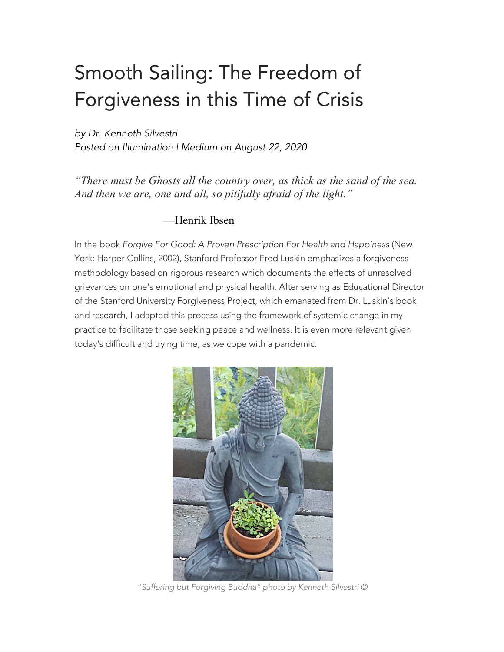# Smooth Sailing: The Freedom of Forgiveness in this Time of Crisis

*by Dr. Kenneth Silvestri Posted on Illumination | Medium on August 22, 2020*

*"There must be Ghosts all the country over, as thick as the sand of the sea. And then we are, one and all, so pitifully afraid of the light."*

#### —Henrik Ibsen

In the book *Forgive For Good: A Proven Prescription For Health and Happiness* (New York: Harper Collins, 2002), Stanford Professor Fred Luskin emphasizes a forgiveness methodology based on rigorous research which documents the effects of unresolved grievances on one's emotional and physical health. After serving as Educational Director of the Stanford University Forgiveness Project, which emanated from Dr. Luskin's book and research, I adapted this process using the framework of systemic change in my practice to facilitate those seeking peace and wellness. It is even more relevant given today's difficult and trying time, as we cope with a pandemic.



*"Suffering but Forgiving Buddha" photo by Kenneth Silvestri ©*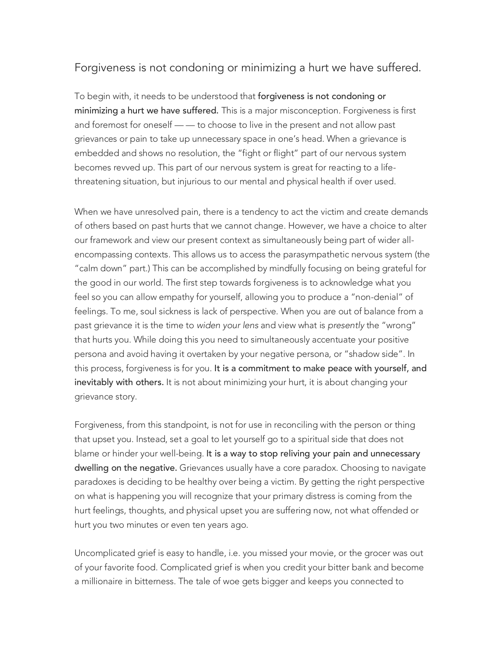### Forgiveness is not condoning or minimizing a hurt we have suffered.

To begin with, it needs to be understood that forgiveness is not condoning or minimizing a hurt we have suffered. This is a major misconception. Forgiveness is first and foremost for oneself — — to choose to live in the present and not allow past grievances or pain to take up unnecessary space in one's head. When a grievance is embedded and shows no resolution, the "fight or flight" part of our nervous system becomes revved up. This part of our nervous system is great for reacting to a lifethreatening situation, but injurious to our mental and physical health if over used.

When we have unresolved pain, there is a tendency to act the victim and create demands of others based on past hurts that we cannot change. However, we have a choice to alter our framework and view our present context as simultaneously being part of wider allencompassing contexts. This allows us to access the parasympathetic nervous system (the "calm down" part.) This can be accomplished by mindfully focusing on being grateful for the good in our world. The first step towards forgiveness is to acknowledge what you feel so you can allow empathy for yourself, allowing you to produce a "non-denial" of feelings. To me, soul sickness is lack of perspective. When you are out of balance from a past grievance it is the time to *widen your lens* and view what is *presently* the "wrong" that hurts you. While doing this you need to simultaneously accentuate your positive persona and avoid having it overtaken by your negative persona, or "shadow side". In this process, forgiveness is for you. It is a commitment to make peace with yourself, and inevitably with others. It is not about minimizing your hurt, it is about changing your grievance story.

Forgiveness, from this standpoint, is not for use in reconciling with the person or thing that upset you. Instead, set a goal to let yourself go to a spiritual side that does not blame or hinder your well-being. It is a way to stop reliving your pain and unnecessary dwelling on the negative. Grievances usually have a core paradox. Choosing to navigate paradoxes is deciding to be healthy over being a victim. By getting the right perspective on what is happening you will recognize that your primary distress is coming from the hurt feelings, thoughts, and physical upset you are suffering now, not what offended or hurt you two minutes or even ten years ago.

Uncomplicated grief is easy to handle, i.e. you missed your movie, or the grocer was out of your favorite food. Complicated grief is when you credit your bitter bank and become a millionaire in bitterness. The tale of woe gets bigger and keeps you connected to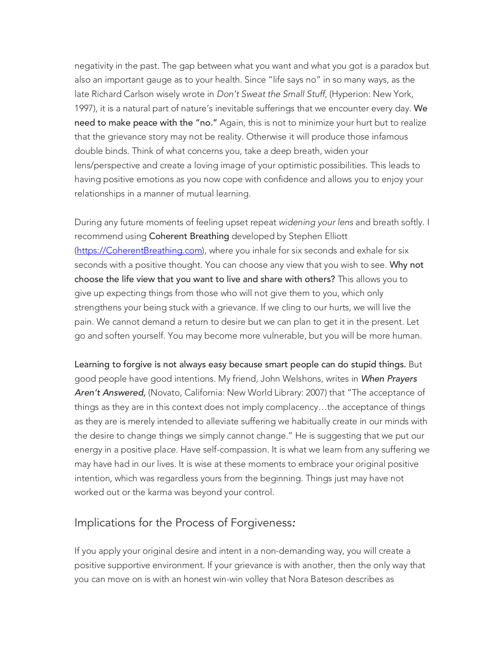negativity in the past. The gap between what you want and what you got is a paradox but also an important gauge as to your health. Since "life says no" in so many ways, as the late Richard Carlson wisely wrote in *Don't Sweat the Small Stuff*, (Hyperion: New York, 1997), it is a natural part of nature's inevitable sufferings that we encounter every day. We need to make peace with the "no." Again, this is not to minimize your hurt but to realize that the grievance story may not be reality. Otherwise it will produce those infamous double binds. Think of what concerns you, take a deep breath, widen your lens/perspective and create a loving image of your optimistic possibilities. This leads to having positive emotions as you now cope with confidence and allows you to enjoy your relationships in a manner of mutual learning.

During any future moments of feeling upset repeat *widening your lens* and breath softly. I recommend using Coherent Breathing developed by Stephen Elliott (https://CoherentBreathing.com), where you inhale for six seconds and exhale for six seconds with a positive thought. You can choose any view that you wish to see. Why not choose the life view that you want to live and share with others? This allows you to give up expecting things from those who will not give them to you, which only strengthens your being stuck with a grievance. If we cling to our hurts, we will live the pain. We cannot demand a return to desire but we can plan to get it in the present. Let go and soften yourself. You may become more vulnerable, but you will be more human.

Learning to forgive is not always easy because smart people can do stupid things. But good people have good intentions. My friend, John Welshons, writes in *When Prayers Aren't Answered,* (Novato, California: New World Library: 2007) that "The acceptance of things as they are in this context does not imply complacency…the acceptance of things as they are is merely intended to alleviate suffering we habitually create in our minds with the desire to change things we simply cannot change." He is suggesting that we put our energy in a positive pla*ce.* Have self-compassion. It is what we learn from any suffering we may have had in our lives. It is wise at these moments to embrace your original positive intention, which was regardless yours from the beginning. Things just may have not worked out or the karma was beyond your control.

#### Implications for the Process of Forgiveness*:*

If you apply your original desire and intent in a non-demanding way, you will create a positive supportive environment. If your grievance is with another, then the only way that you can move on is with an honest win-win volley that Nora Bateson describes as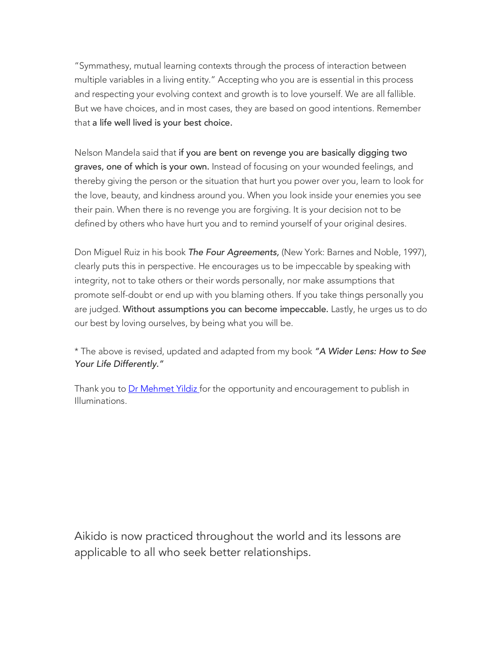"Symmathesy, mutual learning contexts through the process of interaction between multiple variables in a living entity." Accepting who you are is essential in this process and respecting your evolving context and growth is to love yourself. We are all fallible. But we have choices, and in most cases, they are based on good intentions. Remember that a life well lived is your best choice.

Nelson Mandela said that if you are bent on revenge you are basically digging two graves, one of which is your own. Instead of focusing on your wounded feelings, and thereby giving the person or the situation that hurt you power over you, learn to look for the love, beauty, and kindness around you. When you look inside your enemies you see their pain. When there is no revenge you are forgiving. It is your decision not to be defined by others who have hurt you and to remind yourself of your original desires.

Don Miguel Ruiz in his book *The Four Agreements,* (New York: Barnes and Noble, 1997), clearly puts this in perspective. He encourages us to be impeccable by speaking with integrity, not to take others or their words personally, nor make assumptions that promote self-doubt or end up with you blaming others. If you take things personally you are judged. Without assumptions you can become impeccable. Lastly, he urges us to do our best by loving ourselves, by being what you will be.

\* The above is revised, updated and adapted from my book *"A Wider Lens: How to See Your Life Differently."*

Thank you to Dr Mehmet Yildiz for the opportunity and encouragement to publish in Illuminations.

Aikido is now practiced throughout the world and its lessons are applicable to all who seek better relationships.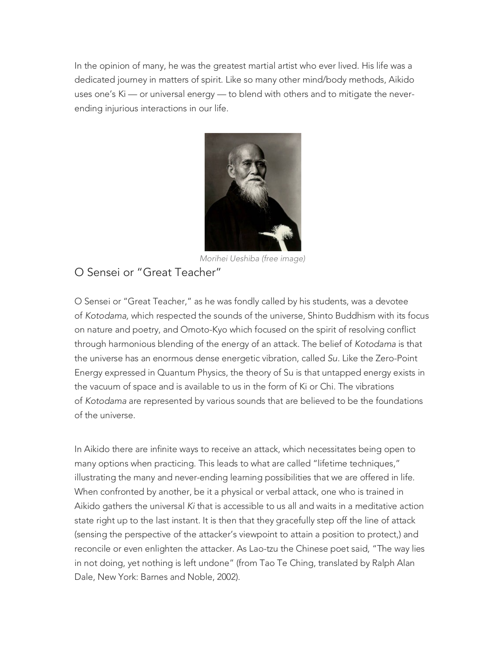In the opinion of many, he was the greatest martial artist who ever lived. His life was a dedicated journey in matters of spirit. Like so many other mind/body methods, Aikido uses one's Ki — or universal energy — to blend with others and to mitigate the neverending injurious interactions in our life.



*Morihei Ueshiba (free image)* O Sensei or "Great Teacher"

O Sensei or "Great Teacher," as he was fondly called by his students, was a devotee of *Kotodama,* which respected the sounds of the universe, Shinto Buddhism with its focus on nature and poetry, and Omoto-Kyo which focused on the spirit of resolving conflict through harmonious blending of the energy of an attack. The belief of *Kotodama* is that the universe has an enormous dense energetic vibration, called *Su.* Like the Zero-Point Energy expressed in Quantum Physics, the theory of Su is that untapped energy exists in the vacuum of space and is available to us in the form of Ki or Chi. The vibrations of *Kotodama* are represented by various sounds that are believed to be the foundations of the universe.

In Aikido there are infinite ways to receive an attack, which necessitates being open to many options when practicing. This leads to what are called "lifetime techniques," illustrating the many and never-ending learning possibilities that we are offered in life. When confronted by another, be it a physical or verbal attack, one who is trained in Aikido gathers the universal *Ki* that is accessible to us all and waits in a meditative action state right up to the last instant. It is then that they gracefully step off the line of attack (sensing the perspective of the attacker's viewpoint to attain a position to protect,) and reconcile or even enlighten the attacker. As Lao-tzu the Chinese poet said, "The way lies in not doing, yet nothing is left undone" (from Tao Te Ching, translated by Ralph Alan Dale, New York: Barnes and Noble, 2002).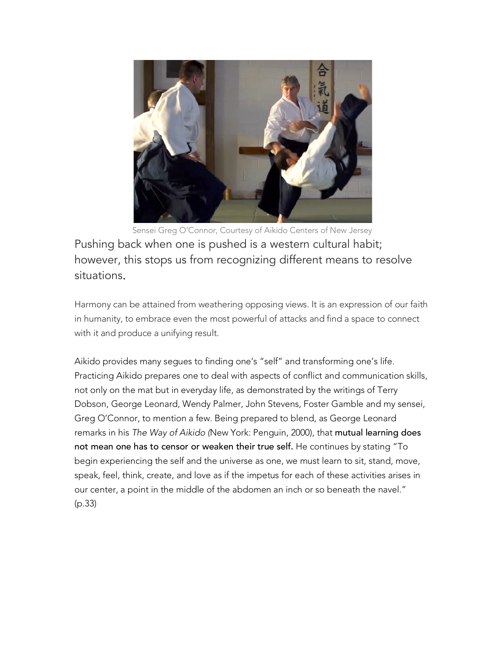

Sensei Greg O'Connor, Courtesy of Aikido Centers of New Jersey Pushing back when one is pushed is a western cultural habit; however, this stops us from recognizing different means to resolve situations.

Harmony can be attained from weathering opposing views. It is an expression of our faith in humanity, to embrace even the most powerful of attacks and find a space to connect with it and produce a unifying result.

Aikido provides many segues to finding one's "self" and transforming one's life. Practicing Aikido prepares one to deal with aspects of conflict and communication skills, not only on the mat but in everyday life, as demonstrated by the writings of Terry Dobson, George Leonard, Wendy Palmer, John Stevens, Foster Gamble and my sensei, Greg O'Connor, to mention a few. Being prepared to blend, as George Leonard remarks in his *The Way of Aikido (*New York: Penguin, 2000), that mutual learning does not mean one has to censor or weaken their true self. He continues by stating "To begin experiencing the self and the universe as one, we must learn to sit, stand, move, speak, feel, think, create, and love as if the impetus for each of these activities arises in our center, a point in the middle of the abdomen an inch or so beneath the navel." (p.33)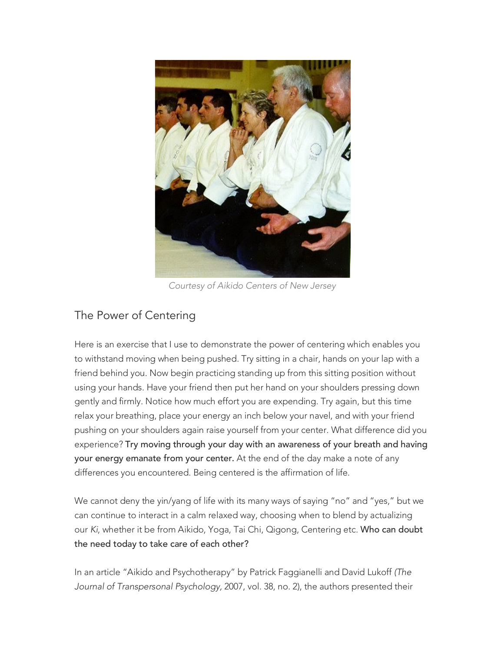

*Courtesy of Aikido Centers of New Jersey*

## The Power of Centering

Here is an exercise that I use to demonstrate the power of centering which enables you to withstand moving when being pushed. Try sitting in a chair, hands on your lap with a friend behind you. Now begin practicing standing up from this sitting position without using your hands. Have your friend then put her hand on your shoulders pressing down gently and firmly. Notice how much effort you are expending. Try again, but this time relax your breathing, place your energy an inch below your navel, and with your friend pushing on your shoulders again raise yourself from your center. What difference did you experience? Try moving through your day with an awareness of your breath and having your energy emanate from your center. At the end of the day make a note of any differences you encountered. Being centered is the affirmation of life.

We cannot deny the yin/yang of life with its many ways of saying "no" and "yes," but we can continue to interact in a calm relaxed way, choosing when to blend by actualizing our *Ki*, whether it be from Aikido, Yoga, Tai Chi, Qigong, Centering etc. Who can doubt the need today to take care of each other?

In an article "Aikido and Psychotherapy" by Patrick Faggianelli and David Lukoff *(The Journal of Transpersonal Psychology,* 2007, vol. 38, no. 2), the authors presented their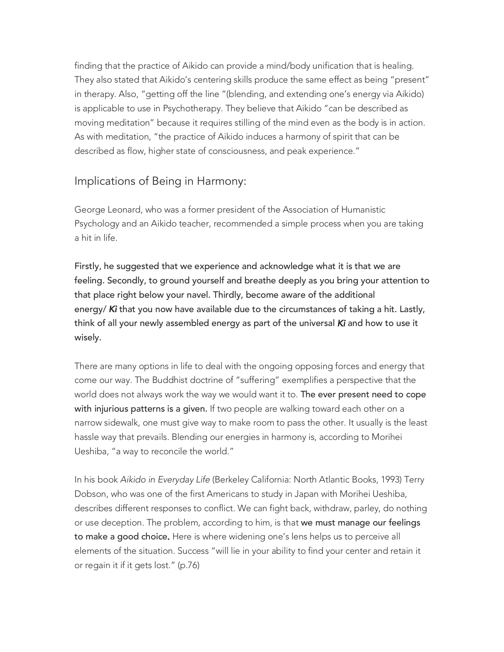finding that the practice of Aikido can provide a mind/body unification that is healing. They also stated that Aikido's centering skills produce the same effect as being "present" in therapy. Also, "getting off the line "(blending, and extending one's energy via Aikido) is applicable to use in Psychotherapy. They believe that Aikido "can be described as moving meditation" because it requires stilling of the mind even as the body is in action. As with meditation, "the practice of Aikido induces a harmony of spirit that can be described as flow, higher state of consciousness, and peak experience."

#### Implications of Being in Harmony:

George Leonard, who was a former president of the Association of Humanistic Psychology and an Aikido teacher, recommended a simple process when you are taking a hit in life.

Firstly, he suggested that we experience and acknowledge what it is that we are feeling. Secondly, to ground yourself and breathe deeply as you bring your attention to that place right below your navel. Thirdly, become aware of the additional energy/ *Ki* that you now have available due to the circumstances of taking a hit. Lastly, think of all your newly assembled energy as part of the universal *Ki* and how to use it wisely.

There are many options in life to deal with the ongoing opposing forces and energy that come our way. The Buddhist doctrine of "suffering" exemplifies a perspective that the world does not always work the way we would want it to. The ever present need to cope with injurious patterns is a given. If two people are walking toward each other on a narrow sidewalk, one must give way to make room to pass the other. It usually is the least hassle way that prevails. Blending our energies in harmony is, according to Morihei Ueshiba, "a way to reconcile the world."

In his book *Aikido in Everyday Life* (Berkeley California: North Atlantic Books, 1993) Terry Dobson, who was one of the first Americans to study in Japan with Morihei Ueshiba, describes different responses to conflict. We can fight back, withdraw, parley, do nothing or use deception. The problem, according to him, is that we must manage our feelings to make a good choice. Here is where widening one's lens helps us to perceive all elements of the situation. Success "will lie in your ability to find your center and retain it or regain it if it gets lost." (p.76)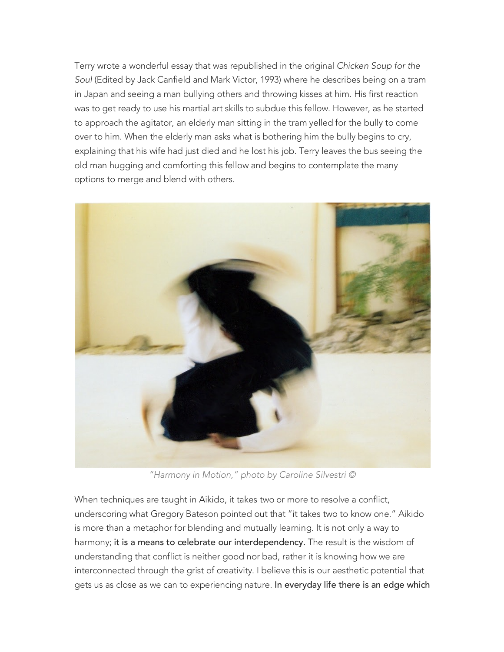Terry wrote a wonderful essay that was republished in the original *Chicken Soup for the Soul* (Edited by Jack Canfield and Mark Victor, 1993) where he describes being on a tram in Japan and seeing a man bullying others and throwing kisses at him. His first reaction was to get ready to use his martial art skills to subdue this fellow. However, as he started to approach the agitator, an elderly man sitting in the tram yelled for the bully to come over to him. When the elderly man asks what is bothering him the bully begins to cry, explaining that his wife had just died and he lost his job. Terry leaves the bus seeing the old man hugging and comforting this fellow and begins to contemplate the many options to merge and blend with others.



*"Harmony in Motion," photo by Caroline Silvestri ©*

When techniques are taught in Aikido, it takes two or more to resolve a conflict, underscoring what Gregory Bateson pointed out that "it takes two to know one." Aikido is more than a metaphor for blending and mutually learning. It is not only a way to harmony; it is a means to celebrate our interdependency. The result is the wisdom of understanding that conflict is neither good nor bad, rather it is knowing how we are interconnected through the grist of creativity. I believe this is our aesthetic potential that gets us as close as we can to experiencing nature. In everyday life there is an edge which